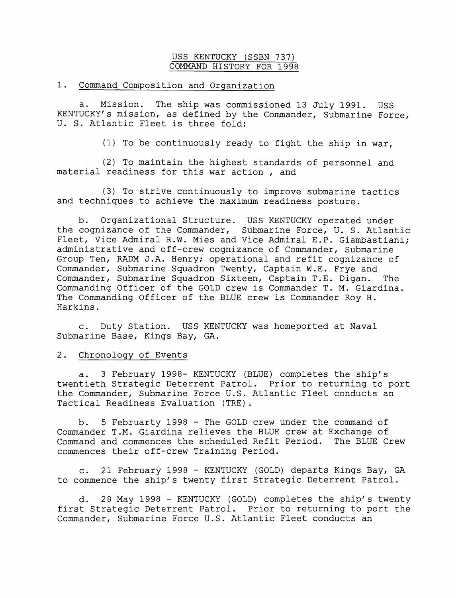## USS KENTUCKY (SSBN 737) COMMAND HISTORY FOR 1998

## 1. Command Composition and Organization

a. Mission. The ship was commissioned 13 July 1991. USS KENTUCKY'S mission, as defined by the Commander, Submarine Force, U. S. Atlantic Fleet is three fold:

(1) To be continuously ready to fight the ship in war,

(2) To maintain the highest standards of personnel and material readiness for this war action , and

(3) To strive continuously to improve submarine tactics and techniques to achieve the maximum readiness posture.

b. Organizational Structure. USS KENTUCKY operated under the cognizance of the Commander, Submarine Force, U. S. Atlantic Fleet, Vice Admiral R.W. Mies and Vice Admiral E.P. Giambastiani; administrative and off-crew cognizance of Commander, Submarine Group Ten, RADM J.A. Henry; operational and refit cognizance of Commander, Submarine Squadron Twenty, Captain W.E. Frye and Commander, Submarine Squadron Sixteen, Captain T.E. Digan. The Commanding Officer of the GOLD crew is Commander T. M. Giardina. The Commanding Officer of the BLUE crew is Commander Roy H. Harkins.

c. Duty Station. USS KENTUCKY was homeported at Naval Submarine Base, Kings Bay, GA.

## 2. Chronology of Events

a. 3 February 1998- KENTUCKY (BLUE) completes the ship's twentieth Strategic Deterrent Patrol. Prior to returning to port the Commander, Submarine Force U.S. Atlantic Fleet conducts an Tactical Readiness Evaluation (TRE).

b. 5 Februarty 1998 - The GOLD crew under the command of Commander T.M. Giardina relieves the BLUE crew at Exchange of<br>Command and commences the scheduled Refit Period. The BLUE Crew Command and commences the scheduled Refit Period. commences their off-crew Training Period.

c. 21 February 1998 - KENTUCKY (GOLD) departs Kings Bay, GA to commence the ship's twenty first Strategic Deterrent Patrol.

d. 28 May 1998 - KENTUCKY (GOLD) completes the ship's twenty first Strategic Deterrent Patrol. Prior to returning to port the Commander, Submarine Force U.S. Atlantic Fleet conducts an